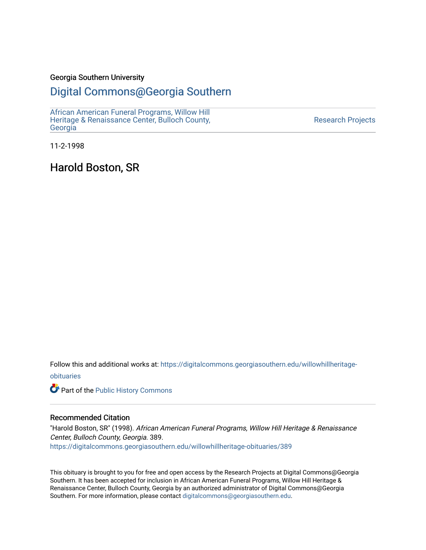#### Georgia Southern University

#### [Digital Commons@Georgia Southern](https://digitalcommons.georgiasouthern.edu/)

[African American Funeral Programs, Willow Hill](https://digitalcommons.georgiasouthern.edu/willowhillheritage-obituaries)  [Heritage & Renaissance Center, Bulloch County,](https://digitalcommons.georgiasouthern.edu/willowhillheritage-obituaries) [Georgia](https://digitalcommons.georgiasouthern.edu/willowhillheritage-obituaries)

[Research Projects](https://digitalcommons.georgiasouthern.edu/research-projects) 

11-2-1998

Harold Boston, SR

Follow this and additional works at: [https://digitalcommons.georgiasouthern.edu/willowhillheritage](https://digitalcommons.georgiasouthern.edu/willowhillheritage-obituaries?utm_source=digitalcommons.georgiasouthern.edu%2Fwillowhillheritage-obituaries%2F389&utm_medium=PDF&utm_campaign=PDFCoverPages)[obituaries](https://digitalcommons.georgiasouthern.edu/willowhillheritage-obituaries?utm_source=digitalcommons.georgiasouthern.edu%2Fwillowhillheritage-obituaries%2F389&utm_medium=PDF&utm_campaign=PDFCoverPages)

Part of the [Public History Commons](http://network.bepress.com/hgg/discipline/1292?utm_source=digitalcommons.georgiasouthern.edu%2Fwillowhillheritage-obituaries%2F389&utm_medium=PDF&utm_campaign=PDFCoverPages) 

#### Recommended Citation

"Harold Boston, SR" (1998). African American Funeral Programs, Willow Hill Heritage & Renaissance Center, Bulloch County, Georgia. 389. [https://digitalcommons.georgiasouthern.edu/willowhillheritage-obituaries/389](https://digitalcommons.georgiasouthern.edu/willowhillheritage-obituaries/389?utm_source=digitalcommons.georgiasouthern.edu%2Fwillowhillheritage-obituaries%2F389&utm_medium=PDF&utm_campaign=PDFCoverPages) 

This obituary is brought to you for free and open access by the Research Projects at Digital Commons@Georgia Southern. It has been accepted for inclusion in African American Funeral Programs, Willow Hill Heritage & Renaissance Center, Bulloch County, Georgia by an authorized administrator of Digital Commons@Georgia Southern. For more information, please contact [digitalcommons@georgiasouthern.edu](mailto:digitalcommons@georgiasouthern.edu).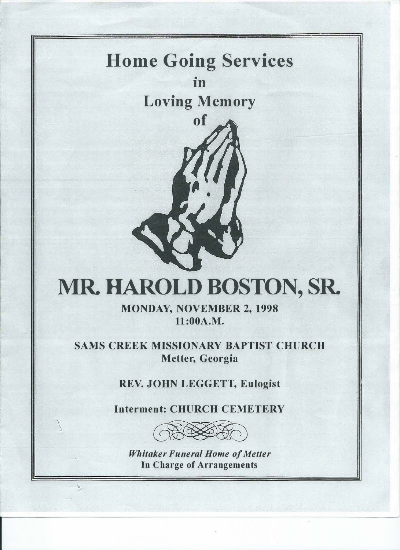### **Home Going Services**  ID

**Loving Memory** 

**of** 



**MONDAY, NOVEMBER 2, 1998 11:00A.M.** 

**SAMS CREEK MISSIONARY BAPTIST CHURCH Metter, Georgia** 

**REV. JOHN LEGGETT, Eulogist** 

**Interment: CHURCH CEMETERY** 



*Whitaker Funeral Home of Metter*  **In Charge of Arrangements**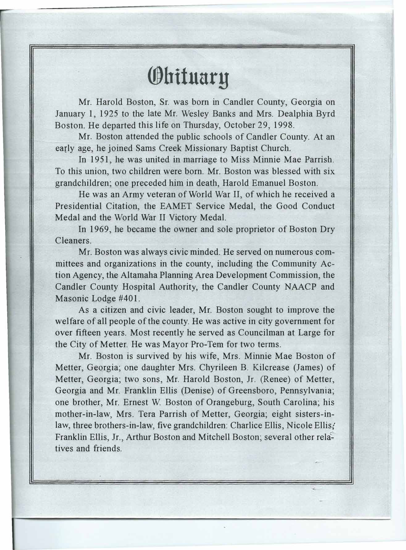### **®hifuary**

Mr. Harold Boston, Sr. was born in Candler County, Georgia on January 1, 1925 to the late Mr. Wesley Banks and Mrs. Dealphia Byrd Boston. He departed this life on Thursday, October 29, 1998.

Mr. Boston attended the public schools of Candler County. At an early age, he joined Sams Creek Missionary Baptist Church.

In 1951, he was united in marriage to Miss Minnie Mae Parrish. To this union, two children were born. Mr. Boston was blessed with six grandchildren; one preceded him in death, Harold Emanuel Boston.

He was an Anny veteran of World War II, of which he received a Presidential Citation, the EAMET Service Medal, the Good Conduct Medal and the World War II Victory Medal.

In 1969, he became the owner and sole proprietor of Boston Dry Cleaners.

Mr. Boston was always civic minded. He served on numerous committees and organizations in the county, including the Community Action Agency, the Altamaha Planning Area Development Commission, the Candler County Hospital Authority, the Candler County NAACP and Masonic Lodge #401.

As a citizen and civic leader, Mr. Boston sought to improve the welfare of all people of the county. He was active in city government for over fifteen years. Most recently he served as Councilman at Large for the City of Metter. He was Mayor Pro-Tem for two terms.

Mr. Boston is survived by his wife, Mrs. Minnie Mae Boston of Metter, Georgia; one daughter Mrs. Chyrileen B. Kilcrease (James) of Metter, Georgia; two sons, Mr. Harold Boston, Jr. (Renee) of Metter, Georgia and Mr. Franklin Ellis (Denise) of Greensboro, Pennsylvania; one brother, Mr. Ernest W. Boston of Orangeburg, South Carolina; his mother-in-law, Mrs. Tera Parrish of Metter, Georgia; eight sisters-inlaw, three brothers-in-law, five grandchildren: Charlice Ellis, Nicole Ellis? Franklin Ellis, Jr., Arthur Boston and Mitchell Boston; several other relatives and friends.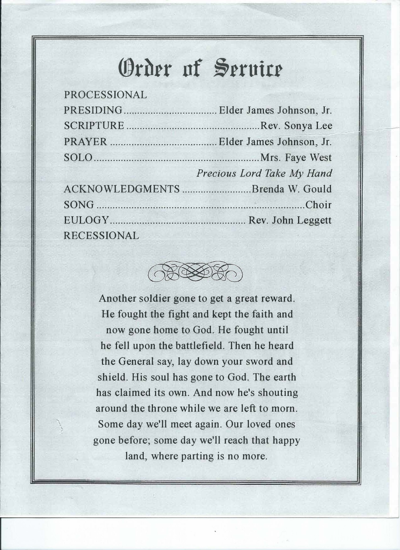## **®rhrr nf �rrutrr**

| Precious Lord Take My Hand      |
|---------------------------------|
| ACKNOWLEDGMENTS Brenda W. Gould |
| SONG Choir                      |
|                                 |
|                                 |
|                                 |



Another soldier gone to get a great reward. He fought the fight and kept the faith and now gone home to God. He fought until he fell upon the battlefield. Then he heard the General say, lay down your sword and shield. His soul has gone to God. The earth has claimed its own. And now he's shouting around the throne while we are left to morn. Some day we'll meet again. Our loved ones gone before; some day we'll reach that happy land, where parting is no more.